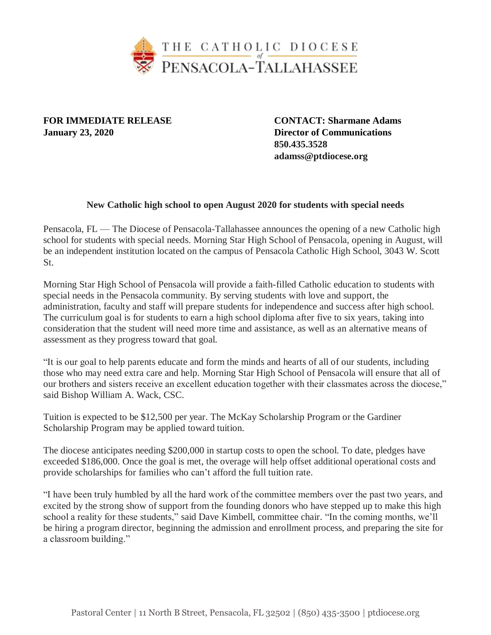

**January 23, 2020 Director of Communications**

**FOR IMMEDIATE RELEASE CONTACT: Sharmane Adams 850.435.3528 adamss@ptdiocese.org**

## **New Catholic high school to open August 2020 for students with special needs**

Pensacola, FL — The Diocese of Pensacola-Tallahassee announces the opening of a new Catholic high school for students with special needs. Morning Star High School of Pensacola, opening in August, will be an independent institution located on the campus of Pensacola Catholic High School, 3043 W. Scott St.

Morning Star High School of Pensacola will provide a faith-filled Catholic education to students with special needs in the Pensacola community. By serving students with love and support, the administration, faculty and staff will prepare students for independence and success after high school. The curriculum goal is for students to earn a high school diploma after five to six years, taking into consideration that the student will need more time and assistance, as well as an alternative means of assessment as they progress toward that goal.

"It is our goal to help parents educate and form the minds and hearts of all of our students, including those who may need extra care and help. Morning Star High School of Pensacola will ensure that all of our brothers and sisters receive an excellent education together with their classmates across the diocese," said Bishop William A. Wack, CSC.

Tuition is expected to be \$12,500 per year. The McKay Scholarship Program or the Gardiner Scholarship Program may be applied toward tuition.

The diocese anticipates needing \$200,000 in startup costs to open the school. To date, pledges have exceeded \$186,000. Once the goal is met, the overage will help offset additional operational costs and provide scholarships for families who can't afford the full tuition rate.

"I have been truly humbled by all the hard work of the committee members over the past two years, and excited by the strong show of support from the founding donors who have stepped up to make this high school a reality for these students," said Dave Kimbell, committee chair. "In the coming months, we'll be hiring a program director, beginning the admission and enrollment process, and preparing the site for a classroom building."